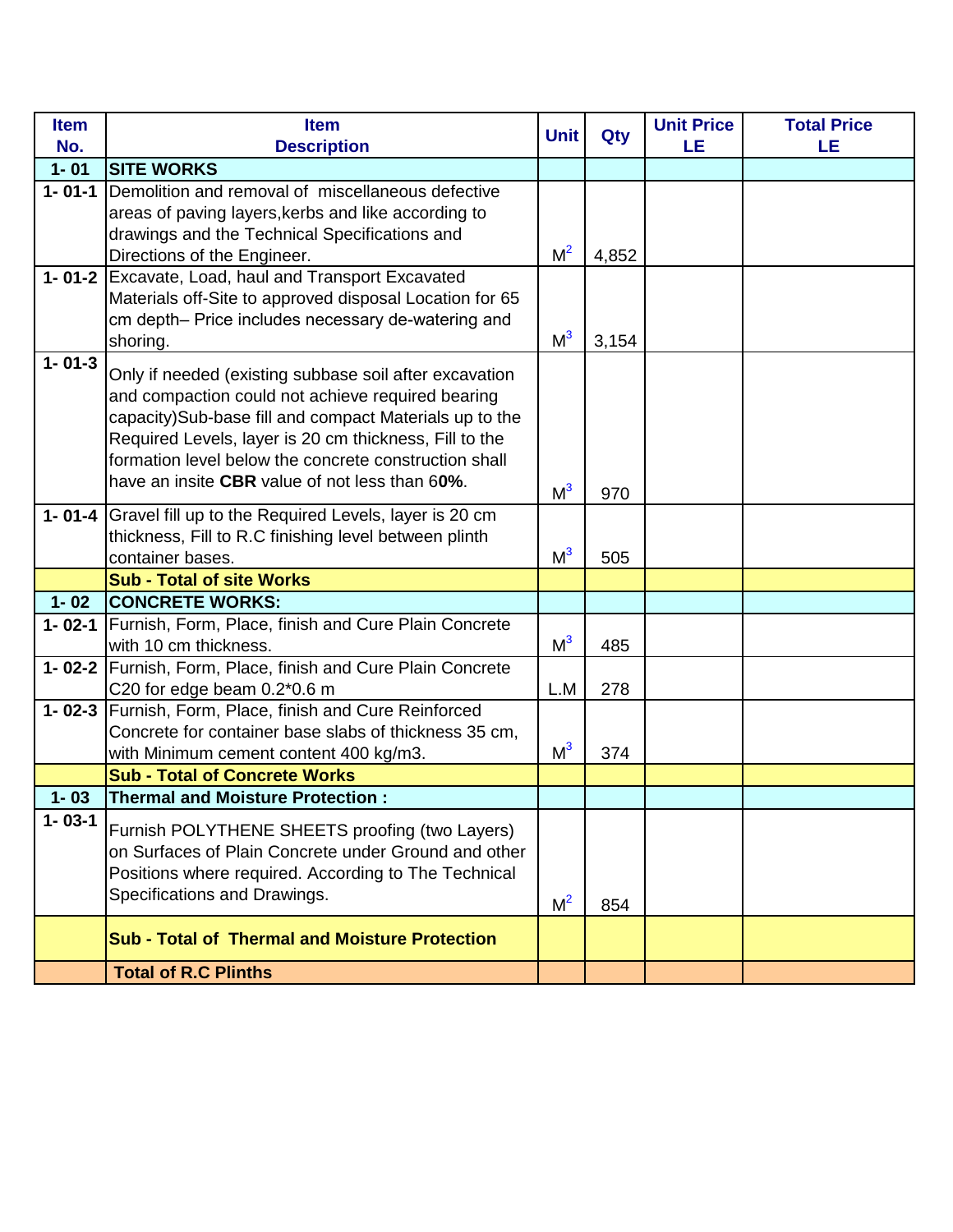| <b>Item</b>  | <b>Item</b>                                                  | <b>Unit</b>    |       | <b>Unit Price</b> | <b>Total Price</b> |
|--------------|--------------------------------------------------------------|----------------|-------|-------------------|--------------------|
| No.          | <b>Description</b>                                           |                | Qty   | LE                | LE                 |
| $1 - 01$     | <b>SITE WORKS</b>                                            |                |       |                   |                    |
| $1 - 01 - 1$ | Demolition and removal of miscellaneous defective            |                |       |                   |                    |
|              | areas of paving layers, kerbs and like according to          |                |       |                   |                    |
|              | drawings and the Technical Specifications and                |                |       |                   |                    |
|              | Directions of the Engineer.                                  | M <sup>2</sup> | 4,852 |                   |                    |
|              | 1-01-2 Excavate, Load, haul and Transport Excavated          |                |       |                   |                    |
|              | Materials off-Site to approved disposal Location for 65      |                |       |                   |                    |
|              | cm depth- Price includes necessary de-watering and           |                |       |                   |                    |
|              | shoring.                                                     | M <sup>3</sup> | 3,154 |                   |                    |
| $1 - 01 - 3$ | Only if needed (existing subbase soil after excavation       |                |       |                   |                    |
|              | and compaction could not achieve required bearing            |                |       |                   |                    |
|              | capacity)Sub-base fill and compact Materials up to the       |                |       |                   |                    |
|              | Required Levels, layer is 20 cm thickness, Fill to the       |                |       |                   |                    |
|              | formation level below the concrete construction shall        |                |       |                   |                    |
|              | have an insite CBR value of not less than 60%.               | M <sup>3</sup> | 970   |                   |                    |
|              | 1-01-4 Gravel fill up to the Required Levels, layer is 20 cm |                |       |                   |                    |
|              | thickness, Fill to R.C finishing level between plinth        |                |       |                   |                    |
|              | container bases.                                             | M <sup>3</sup> | 505   |                   |                    |
|              | <b>Sub - Total of site Works</b>                             |                |       |                   |                    |
| $1 - 02$     | <b>CONCRETE WORKS:</b>                                       |                |       |                   |                    |
|              | 1-02-1 Furnish, Form, Place, finish and Cure Plain Concrete  |                |       |                   |                    |
|              | with 10 cm thickness.                                        | M <sup>3</sup> | 485   |                   |                    |
|              | 1-02-2 Furnish, Form, Place, finish and Cure Plain Concrete  |                |       |                   |                    |
|              | C20 for edge beam $0.2*0.6$ m                                | L.M            | 278   |                   |                    |
|              | 1-02-3 Furnish, Form, Place, finish and Cure Reinforced      |                |       |                   |                    |
|              | Concrete for container base slabs of thickness 35 cm,        |                |       |                   |                    |
|              | with Minimum cement content 400 kg/m3.                       | M <sup>3</sup> | 374   |                   |                    |
|              | <b>Sub - Total of Concrete Works</b>                         |                |       |                   |                    |
| $1 - 03$     | <b>Thermal and Moisture Protection:</b>                      |                |       |                   |                    |
| $1 - 03 - 1$ | Furnish POLYTHENE SHEETS proofing (two Layers)               |                |       |                   |                    |
|              | on Surfaces of Plain Concrete under Ground and other         |                |       |                   |                    |
|              | Positions where required. According to The Technical         |                |       |                   |                    |
|              | Specifications and Drawings.                                 |                |       |                   |                    |
|              |                                                              | M <sup>2</sup> | 854   |                   |                    |
|              | <b>Sub - Total of Thermal and Moisture Protection</b>        |                |       |                   |                    |
|              | <b>Total of R.C Plinths</b>                                  |                |       |                   |                    |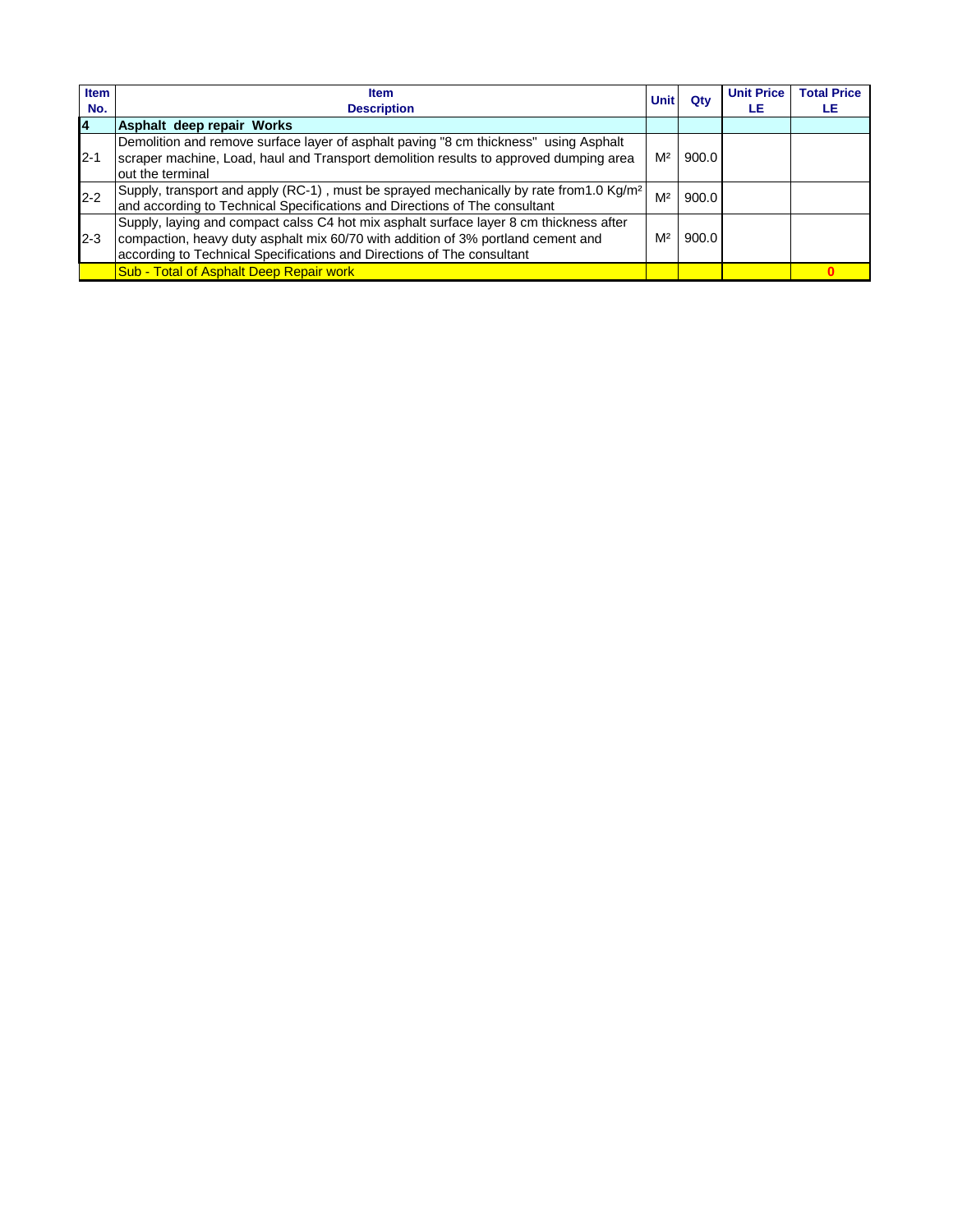| <b>Item</b><br>No. | <b>Item</b><br><b>Description</b>                                                                                                                                                                                                                    | <b>Unit</b>    | Qtv   | <b>Unit Price</b><br>LE | <b>Total Price</b><br>LE. |
|--------------------|------------------------------------------------------------------------------------------------------------------------------------------------------------------------------------------------------------------------------------------------------|----------------|-------|-------------------------|---------------------------|
| l4                 | Asphalt deep repair Works                                                                                                                                                                                                                            |                |       |                         |                           |
| $2 - 1$            | Demolition and remove surface layer of asphalt paving "8 cm thickness" using Asphalt<br>scraper machine, Load, haul and Transport demolition results to approved dumping area<br>out the terminal                                                    | M <sup>2</sup> | 900.0 |                         |                           |
| $2 - 2$            | Supply, transport and apply (RC-1), must be sprayed mechanically by rate from 1.0 Kg/m <sup>2</sup><br>and according to Technical Specifications and Directions of The consultant                                                                    | M <sup>2</sup> | 900.0 |                         |                           |
| $2 - 3$            | Supply, laying and compact calss C4 hot mix asphalt surface layer 8 cm thickness after<br>compaction, heavy duty asphalt mix 60/70 with addition of 3% portland cement and<br>according to Technical Specifications and Directions of The consultant | M <sup>2</sup> | 900.0 |                         |                           |
|                    | Sub - Total of Asphalt Deep Repair work                                                                                                                                                                                                              |                |       |                         |                           |